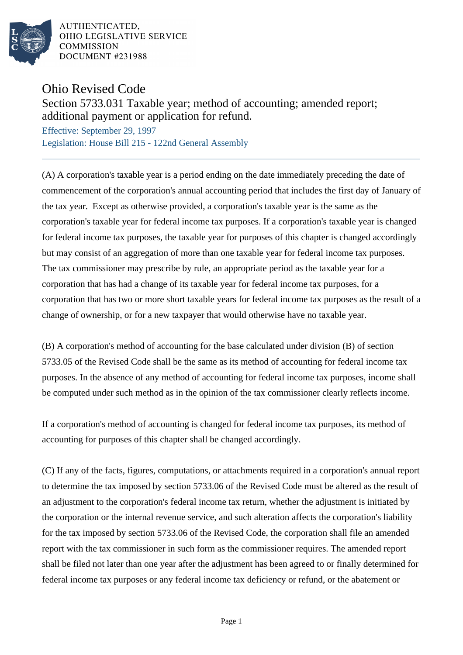

AUTHENTICATED. OHIO LEGISLATIVE SERVICE **COMMISSION DOCUMENT #231988** 

## Ohio Revised Code

## Section 5733.031 Taxable year; method of accounting; amended report; additional payment or application for refund.

Effective: September 29, 1997 Legislation: House Bill 215 - 122nd General Assembly

(A) A corporation's taxable year is a period ending on the date immediately preceding the date of commencement of the corporation's annual accounting period that includes the first day of January of the tax year. Except as otherwise provided, a corporation's taxable year is the same as the corporation's taxable year for federal income tax purposes. If a corporation's taxable year is changed for federal income tax purposes, the taxable year for purposes of this chapter is changed accordingly but may consist of an aggregation of more than one taxable year for federal income tax purposes. The tax commissioner may prescribe by rule, an appropriate period as the taxable year for a corporation that has had a change of its taxable year for federal income tax purposes, for a corporation that has two or more short taxable years for federal income tax purposes as the result of a change of ownership, or for a new taxpayer that would otherwise have no taxable year.

(B) A corporation's method of accounting for the base calculated under division (B) of section 5733.05 of the Revised Code shall be the same as its method of accounting for federal income tax purposes. In the absence of any method of accounting for federal income tax purposes, income shall be computed under such method as in the opinion of the tax commissioner clearly reflects income.

If a corporation's method of accounting is changed for federal income tax purposes, its method of accounting for purposes of this chapter shall be changed accordingly.

(C) If any of the facts, figures, computations, or attachments required in a corporation's annual report to determine the tax imposed by section 5733.06 of the Revised Code must be altered as the result of an adjustment to the corporation's federal income tax return, whether the adjustment is initiated by the corporation or the internal revenue service, and such alteration affects the corporation's liability for the tax imposed by section 5733.06 of the Revised Code, the corporation shall file an amended report with the tax commissioner in such form as the commissioner requires. The amended report shall be filed not later than one year after the adjustment has been agreed to or finally determined for federal income tax purposes or any federal income tax deficiency or refund, or the abatement or